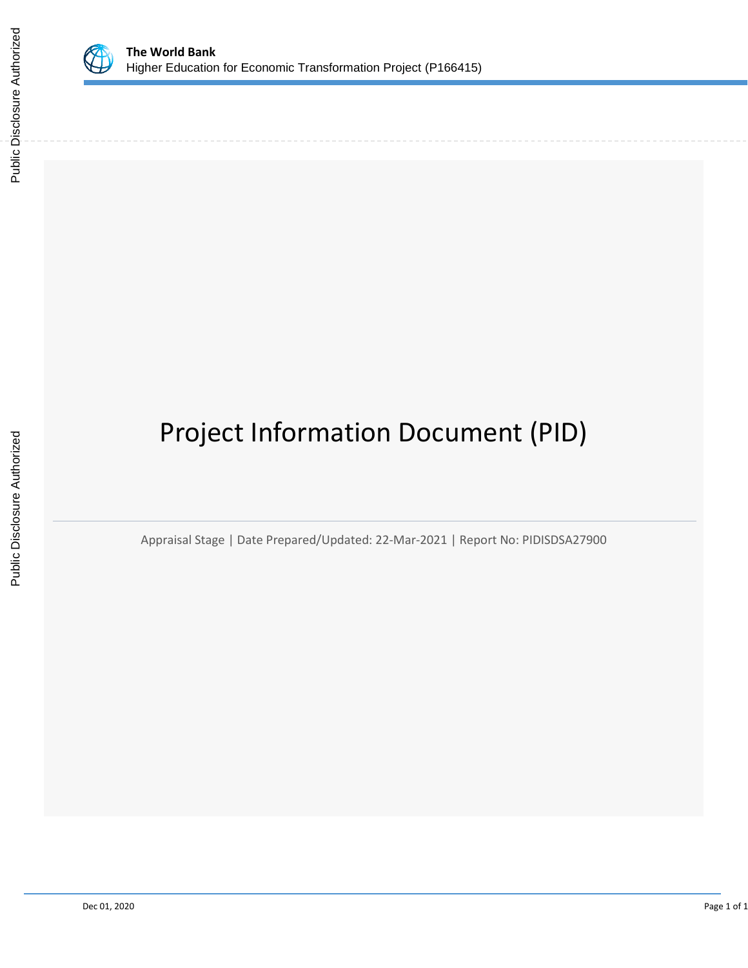

# Project Information Document (PID)

Appraisal Stage | Date Prepared/Updated: 22-Mar-2021 | Report No: PIDISDSA27900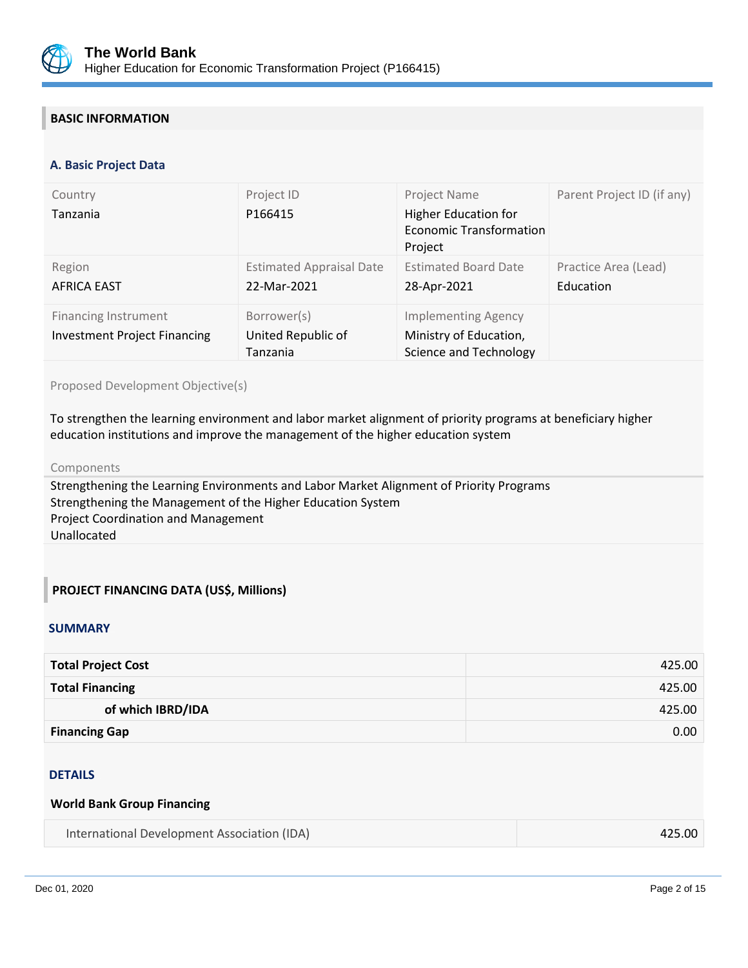

# **BASIC INFORMATION**

#### **OPS\_TABLE\_BASIC\_DATA A. Basic Project Data**

| Country<br>Tanzania                                                | Project ID<br>P166415                          | Project Name<br><b>Higher Education for</b><br><b>Economic Transformation</b><br>Project | Parent Project ID (if any)        |
|--------------------------------------------------------------------|------------------------------------------------|------------------------------------------------------------------------------------------|-----------------------------------|
| Region<br><b>AFRICA EAST</b>                                       | <b>Estimated Appraisal Date</b><br>22-Mar-2021 | <b>Estimated Board Date</b><br>28-Apr-2021                                               | Practice Area (Lead)<br>Education |
| <b>Financing Instrument</b><br><b>Investment Project Financing</b> | Borrower(s)<br>United Republic of<br>Tanzania  | <b>Implementing Agency</b><br>Ministry of Education,<br>Science and Technology           |                                   |

#### Proposed Development Objective(s)

To strengthen the learning environment and labor market alignment of priority programs at beneficiary higher education institutions and improve the management of the higher education system

#### Components

Strengthening the Learning Environments and Labor Market Alignment of Priority Programs Strengthening the Management of the Higher Education System Project Coordination and Management Unallocated

## **PROJECT FINANCING DATA (US\$, Millions)**

#### **SUMMARY**

| <b>Total Project Cost</b> | 425.00 |
|---------------------------|--------|
| <b>Total Financing</b>    | 425.00 |
| of which IBRD/IDA         | 425.00 |
| <b>Financing Gap</b>      | 0.00   |

#### DETAILS

#### **World Bank Group Financing**

| International Development Association (IDA) | 425.00 |
|---------------------------------------------|--------|
|---------------------------------------------|--------|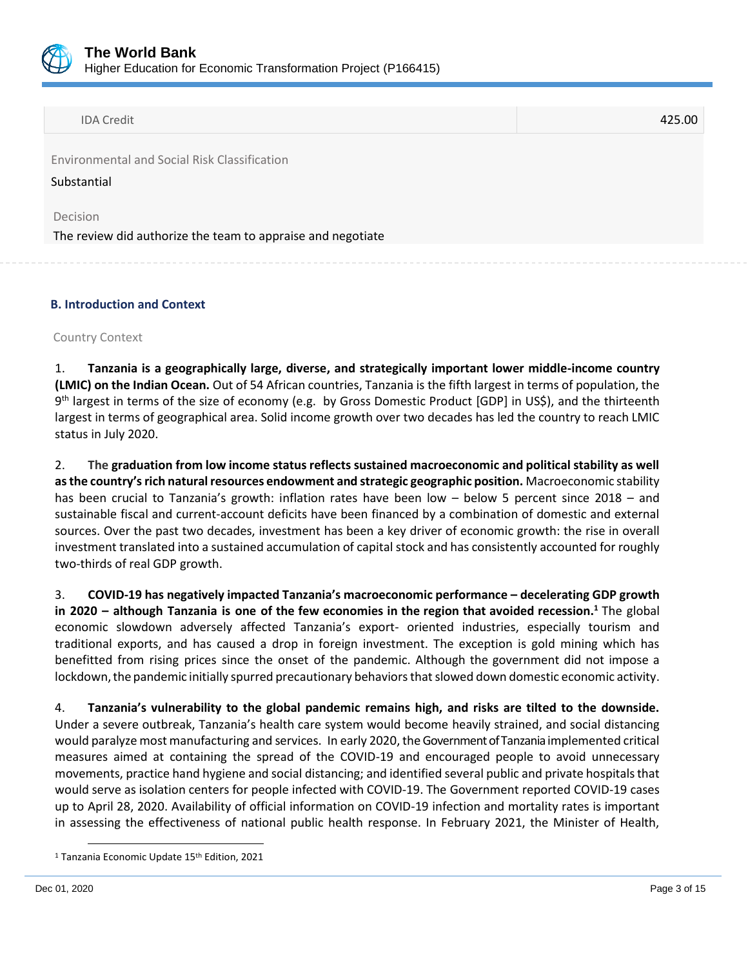

Environmental and Social Risk Classification

#### Substantial

Decision

The review did authorize the team to appraise and negotiate

## **B. Introduction and Context**

#### Country Context

1. **Tanzania is a geographically large, diverse, and strategically important lower middle-income country (LMIC) on the Indian Ocean.** Out of 54 African countries, Tanzania is the fifth largest in terms of population, the 9<sup>th</sup> largest in terms of the size of economy (e.g. by Gross Domestic Product [GDP] in US\$), and the thirteenth largest in terms of geographical area. Solid income growth over two decades has led the country to reach LMIC status in July 2020.

2. **The graduation from low income status reflects sustained macroeconomic and political stability as well as the country's rich natural resources endowment and strategic geographic position.** Macroeconomic stability has been crucial to Tanzania's growth: inflation rates have been low – below 5 percent since 2018 – and sustainable fiscal and current-account deficits have been financed by a combination of domestic and external sources. Over the past two decades, investment has been a key driver of economic growth: the rise in overall investment translated into a sustained accumulation of capital stock and has consistently accounted for roughly two-thirds of real GDP growth.

3. **COVID-19 has negatively impacted Tanzania's macroeconomic performance – decelerating GDP growth in 2020 – although Tanzania is one of the few economies in the region that avoided recession. <sup>1</sup>** The global economic slowdown adversely affected Tanzania's export- oriented industries, especially tourism and traditional exports, and has caused a drop in foreign investment. The exception is gold mining which has benefitted from rising prices since the onset of the pandemic. Although the government did not impose a lockdown, the pandemic initially spurred precautionary behaviors that slowed down domestic economic activity.

4. **Tanzania's vulnerability to the global pandemic remains high, and risks are tilted to the downside.**  Under a severe outbreak, Tanzania's health care system would become heavily strained, and social distancing would paralyze most manufacturing and services. In early 2020, theGovernment of Tanzania implemented critical measures aimed at containing the spread of the COVID-19 and encouraged people to avoid unnecessary movements, practice hand hygiene and social distancing; and identified several public and private hospitals that would serve as isolation centers for people infected with COVID-19. The Government reported COVID-19 cases up to April 28, 2020. Availability of official information on COVID-19 infection and mortality rates is important in assessing the effectiveness of national public health response. In February 2021, the Minister of Health,

<sup>&</sup>lt;sup>1</sup> Tanzania Economic Update 15<sup>th</sup> Edition, 2021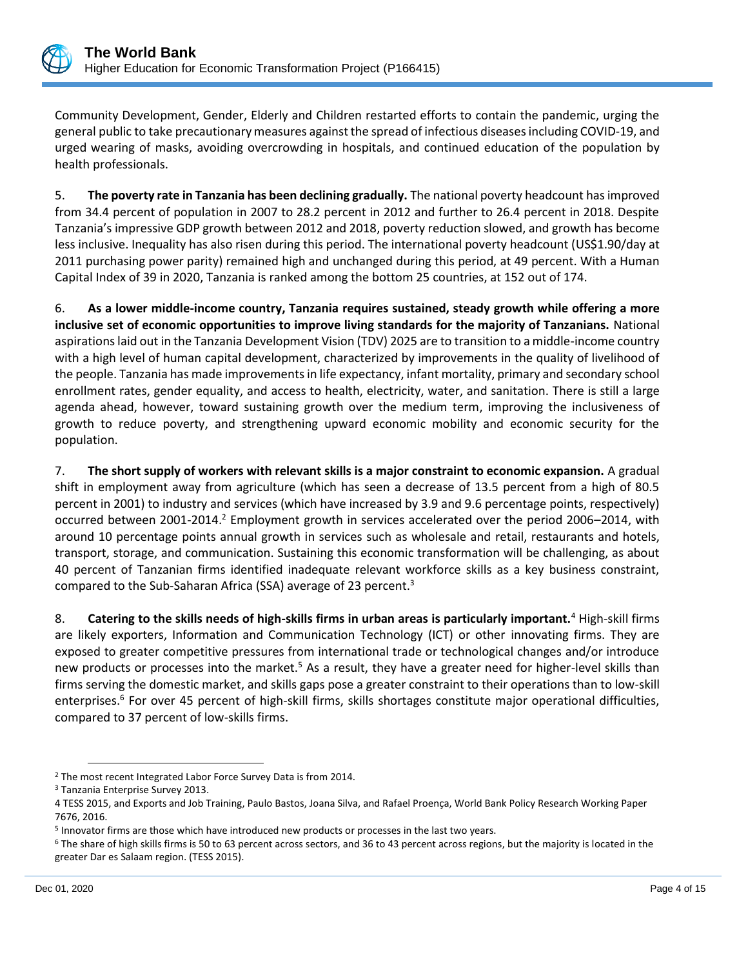

Community Development, Gender, Elderly and Children restarted efforts to contain the pandemic, urging the general public to take precautionary measures against the spread of infectious diseases including COVID-19, and urged wearing of masks, avoiding overcrowding in hospitals, and continued education of the population by health professionals.

5. **The poverty rate in Tanzania has been declining gradually.** The national poverty headcount has improved from 34.4 percent of population in 2007 to 28.2 percent in 2012 and further to 26.4 percent in 2018. Despite Tanzania's impressive GDP growth between 2012 and 2018, poverty reduction slowed, and growth has become less inclusive. Inequality has also risen during this period. The international poverty headcount (US\$1.90/day at 2011 purchasing power parity) remained high and unchanged during this period, at 49 percent. With a Human Capital Index of 39 in 2020, Tanzania is ranked among the bottom 25 countries, at 152 out of 174.

6. **As a lower middle-income country, Tanzania requires sustained, steady growth while offering a more inclusive set of economic opportunities to improve living standards for the majority of Tanzanians.** National aspirations laid out in the Tanzania Development Vision (TDV) 2025 are to transition to a middle-income country with a high level of human capital development, characterized by improvements in the quality of livelihood of the people. Tanzania has made improvements in life expectancy, infant mortality, primary and secondary school enrollment rates, gender equality, and access to health, electricity, water, and sanitation. There is still a large agenda ahead, however, toward sustaining growth over the medium term, improving the inclusiveness of growth to reduce poverty, and strengthening upward economic mobility and economic security for the population.

7. **The short supply of workers with relevant skills is a major constraint to economic expansion.** A gradual shift in employment away from agriculture (which has seen a decrease of 13.5 percent from a high of 80.5 percent in 2001) to industry and services (which have increased by 3.9 and 9.6 percentage points, respectively) occurred between 2001-2014.<sup>2</sup> Employment growth in services accelerated over the period 2006–2014, with around 10 percentage points annual growth in services such as wholesale and retail, restaurants and hotels, transport, storage, and communication. Sustaining this economic transformation will be challenging, as about 40 percent of Tanzanian firms identified inadequate relevant workforce skills as a key business constraint, compared to the Sub-Saharan Africa (SSA) average of 23 percent.<sup>3</sup>

8. **Catering to the skills needs of high-skills firms in urban areas is particularly important.**<sup>4</sup> High-skill firms are likely exporters, Information and Communication Technology (ICT) or other innovating firms. They are exposed to greater competitive pressures from international trade or technological changes and/or introduce new products or processes into the market.<sup>5</sup> As a result, they have a greater need for higher-level skills than firms serving the domestic market, and skills gaps pose a greater constraint to their operations than to low-skill enterprises.<sup>6</sup> For over 45 percent of high-skill firms, skills shortages constitute major operational difficulties, compared to 37 percent of low-skills firms.

<sup>2</sup> The most recent Integrated Labor Force Survey Data is from 2014.

<sup>3</sup> Tanzania Enterprise Survey 2013.

<sup>4</sup> TESS 2015, and [Exports and Job Training,](http://documents.worldbank.org/curated/en/2016/05/26377330/exports-job-training?cid=DEC_PolicyResearchEN_D_INT) Paulo Bastos, Joana Silva, and Rafael Proença, World Bank Policy Research Working Paper 7676, 2016.

<sup>5</sup> Innovator firms are those which have introduced new products or processes in the last two years.

 $6$  The share of high skills firms is 50 to 63 percent across sectors, and 36 to 43 percent across regions, but the majority is located in the greater Dar es Salaam region. (TESS 2015).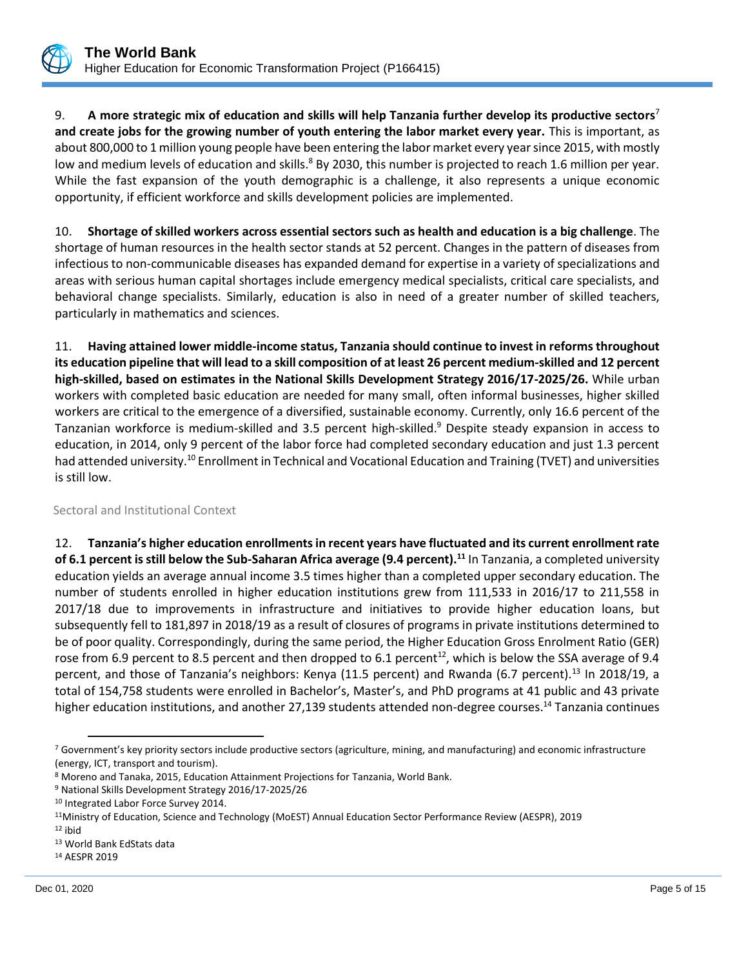

9. **A more strategic mix of education and skills will help Tanzania further develop its productive sectors**<sup>7</sup> **and create jobs for the growing number of youth entering the labor market every year.** This is important, as about 800,000 to 1 million young people have been entering the labor market every year since 2015, with mostly low and medium levels of education and skills.<sup>8</sup> By 2030, this number is projected to reach 1.6 million per year. While the fast expansion of the youth demographic is a challenge, it also represents a unique economic opportunity, if efficient workforce and skills development policies are implemented.

10. **Shortage of skilled workers across essential sectors such as health and education is a big challenge**. The shortage of human resources in the health sector stands at 52 percent. Changes in the pattern of diseases from infectious to non-communicable diseases has expanded demand for expertise in a variety of specializations and areas with serious human capital shortages include emergency medical specialists, critical care specialists, and behavioral change specialists. Similarly, education is also in need of a greater number of skilled teachers, particularly in mathematics and sciences.

11. **Having attained lower middle-income status, Tanzania should continue to invest in reforms throughout its education pipeline that will lead to a skill composition of at least 26 percent medium-skilled and 12 percent high-skilled, based on estimates in the National Skills Development Strategy 2016/17-2025/26.** While urban workers with completed basic education are needed for many small, often informal businesses, higher skilled workers are critical to the emergence of a diversified, sustainable economy. Currently, only 16.6 percent of the Tanzanian workforce is medium-skilled and 3.5 percent high-skilled.<sup>9</sup> Despite steady expansion in access to education, in 2014, only 9 percent of the labor force had completed secondary education and just 1.3 percent had attended university.<sup>10</sup> Enrollment in Technical and Vocational Education and Training (TVET) and universities is still low.

## Sectoral and Institutional Context

12. **Tanzania's higher education enrollments in recent years have fluctuated and its current enrollment rate of 6.1 percent is still below the Sub-Saharan Africa average (9.4 percent).<sup>11</sup>** In Tanzania, a completed university education yields an average annual income 3.5 times higher than a completed upper secondary education. The number of students enrolled in higher education institutions grew from 111,533 in 2016/17 to 211,558 in 2017/18 due to improvements in infrastructure and initiatives to provide higher education loans, but subsequently fell to 181,897 in 2018/19 as a result of closures of programs in private institutions determined to be of poor quality. Correspondingly, during the same period, the Higher Education Gross Enrolment Ratio (GER) rose from 6.9 percent to 8.5 percent and then dropped to 6.1 percent<sup>12</sup>, which is below the SSA average of 9.4 percent, and those of Tanzania's neighbors: Kenya (11.5 percent) and Rwanda (6.7 percent).<sup>13</sup> In 2018/19, a total of 154,758 students were enrolled in Bachelor's, Master's, and PhD programs at 41 public and 43 private higher education institutions, and another 27,139 students attended non-degree courses.<sup>14</sup> Tanzania continues

<sup>&</sup>lt;sup>7</sup> Government's key priority sectors include productive sectors (agriculture, mining, and manufacturing) and economic infrastructure (energy, ICT, transport and tourism).

<sup>8</sup> Moreno and Tanaka, 2015, Education Attainment Projections for Tanzania, World Bank.

<sup>9</sup> National Skills Development Strategy 2016/17-2025/26

<sup>&</sup>lt;sup>10</sup> Integrated Labor Force Survey 2014.

<sup>11</sup>Ministry of Education, Science and Technology (MoEST) Annual Education Sector Performance Review (AESPR), 2019

<sup>12</sup> ibid

<sup>13</sup> World Bank EdStats data

<sup>14</sup> AESPR 2019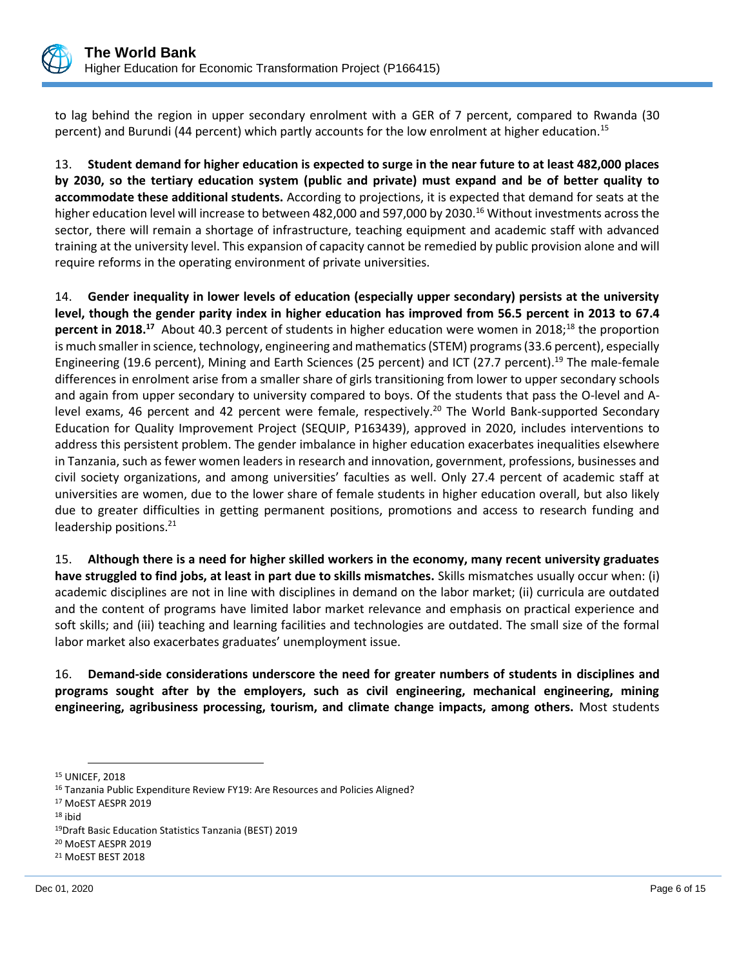

to lag behind the region in upper secondary enrolment with a GER of 7 percent, compared to Rwanda (30 percent) and Burundi (44 percent) which partly accounts for the low enrolment at higher education.<sup>15</sup>

13. **Student demand for higher education is expected to surge in the near future to at least 482,000 places by 2030, so the tertiary education system (public and private) must expand and be of better quality to accommodate these additional students.** According to projections, it is expected that demand for seats at the higher education level will increase to between 482,000 and 597,000 by 2030.<sup>16</sup> Without investments across the sector, there will remain a shortage of infrastructure, teaching equipment and academic staff with advanced training at the university level. This expansion of capacity cannot be remedied by public provision alone and will require reforms in the operating environment of private universities.

14. **Gender inequality in lower levels of education (especially upper secondary) persists at the university level, though the gender parity index in higher education has improved from 56.5 percent in 2013 to 67.4 percent in 2018.**<sup>17</sup> About 40.3 percent of students in higher education were women in 2018;<sup>18</sup> the proportion is much smaller in science, technology, engineering and mathematics (STEM) programs (33.6 percent), especially Engineering (19.6 percent), Mining and Earth Sciences (25 percent) and ICT (27.7 percent).<sup>19</sup> The male-female differences in enrolment arise from a smaller share of girls transitioning from lower to upper secondary schools and again from upper secondary to university compared to boys. Of the students that pass the O-level and Alevel exams, 46 percent and 42 percent were female, respectively.<sup>20</sup> The World Bank-supported Secondary Education for Quality Improvement Project (SEQUIP, P163439), approved in 2020, includes interventions to address this persistent problem. The gender imbalance in higher education exacerbates inequalities elsewhere in Tanzania, such as fewer women leaders in research and innovation, government, professions, businesses and civil society organizations, and among universities' faculties as well. Only 27.4 percent of academic staff at universities are women, due to the lower share of female students in higher education overall, but also likely due to greater difficulties in getting permanent positions, promotions and access to research funding and leadership positions.<sup>21</sup>

15. **Although there is a need for higher skilled workers in the economy, many recent university graduates have struggled to find jobs, at least in part due to skills mismatches.** Skills mismatches usually occur when: (i) academic disciplines are not in line with disciplines in demand on the labor market; (ii) curricula are outdated and the content of programs have limited labor market relevance and emphasis on practical experience and soft skills; and (iii) teaching and learning facilities and technologies are outdated. The small size of the formal labor market also exacerbates graduates' unemployment issue.

16. **Demand-side considerations underscore the need for greater numbers of students in disciplines and programs sought after by the employers, such as civil engineering, mechanical engineering, mining engineering, agribusiness processing, tourism, and climate change impacts, among others.** Most students

<sup>15</sup> UNICEF, 2018

<sup>&</sup>lt;sup>16</sup> Tanzania Public Expenditure Review FY19: Are Resources and Policies Aligned?

<sup>17</sup> MoEST AESPR 2019

<sup>18</sup> ibid

<sup>19</sup>Draft Basic Education Statistics Tanzania (BEST) 2019

<sup>20</sup> MoEST AESPR 2019

<sup>21</sup> MoEST BEST 2018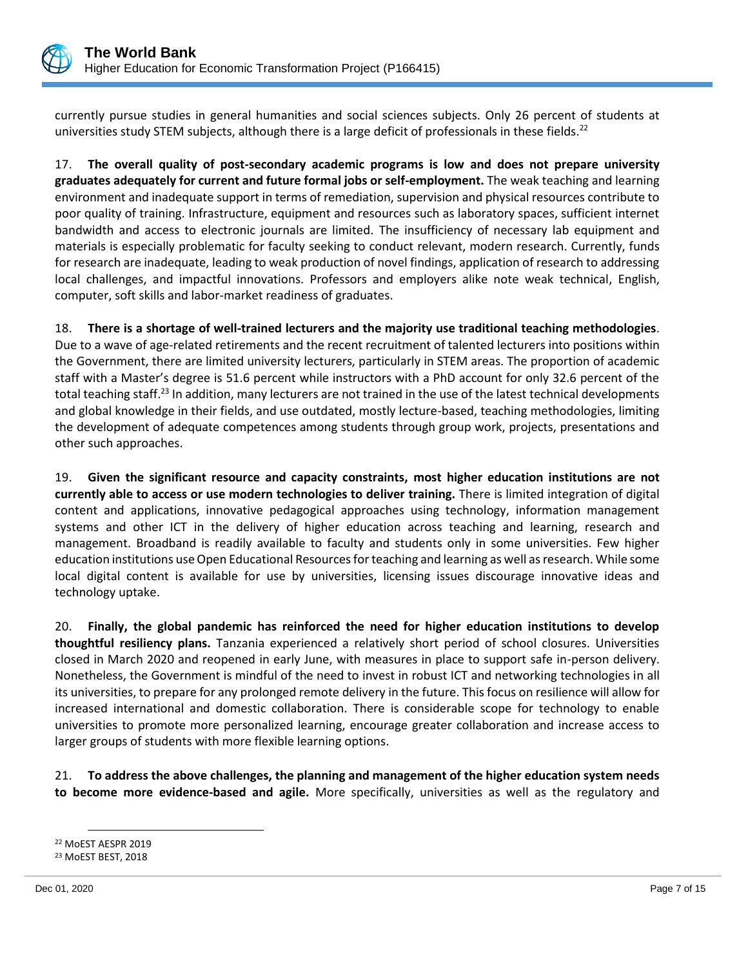

currently pursue studies in general humanities and social sciences subjects. Only 26 percent of students at universities study STEM subjects, although there is a large deficit of professionals in these fields.<sup>22</sup>

17. **The overall quality of post-secondary academic programs is low and does not prepare university graduates adequately for current and future formal jobs or self-employment.** The weak teaching and learning environment and inadequate support in terms of remediation, supervision and physical resources contribute to poor quality of training. Infrastructure, equipment and resources such as laboratory spaces, sufficient internet bandwidth and access to electronic journals are limited. The insufficiency of necessary lab equipment and materials is especially problematic for faculty seeking to conduct relevant, modern research. Currently, funds for research are inadequate, leading to weak production of novel findings, application of research to addressing local challenges, and impactful innovations. Professors and employers alike note weak technical, English, computer, soft skills and labor-market readiness of graduates.

18. **There is a shortage of well-trained lecturers and the majority use traditional teaching methodologies**. Due to a wave of age-related retirements and the recent recruitment of talented lecturers into positions within the Government, there are limited university lecturers, particularly in STEM areas. The proportion of academic staff with a Master's degree is 51.6 percent while instructors with a PhD account for only 32.6 percent of the total teaching staff.<sup>23</sup> In addition, many lecturers are not trained in the use of the latest technical developments and global knowledge in their fields, and use outdated, mostly lecture-based, teaching methodologies, limiting the development of adequate competences among students through group work, projects, presentations and other such approaches.

19. **Given the significant resource and capacity constraints, most higher education institutions are not currently able to access or use modern technologies to deliver training.** There is limited integration of digital content and applications, innovative pedagogical approaches using technology, information management systems and other ICT in the delivery of higher education across teaching and learning, research and management. Broadband is readily available to faculty and students only in some universities. Few higher education institutions use Open Educational Resources for teaching and learning as well as research. While some local digital content is available for use by universities, licensing issues discourage innovative ideas and technology uptake.

20. **Finally, the global pandemic has reinforced the need for higher education institutions to develop thoughtful resiliency plans.** Tanzania experienced a relatively short period of school closures. Universities closed in March 2020 and reopened in early June, with measures in place to support safe in-person delivery. Nonetheless, the Government is mindful of the need to invest in robust ICT and networking technologies in all its universities, to prepare for any prolonged remote delivery in the future. This focus on resilience will allow for increased international and domestic collaboration. There is considerable scope for technology to enable universities to promote more personalized learning, encourage greater collaboration and increase access to larger groups of students with more flexible learning options.

21. **To address the above challenges, the planning and management of the higher education system needs to become more evidence-based and agile.** More specifically, universities as well as the regulatory and

<sup>22</sup> MoEST AESPR 2019 <sup>23</sup> MoEST BEST, 2018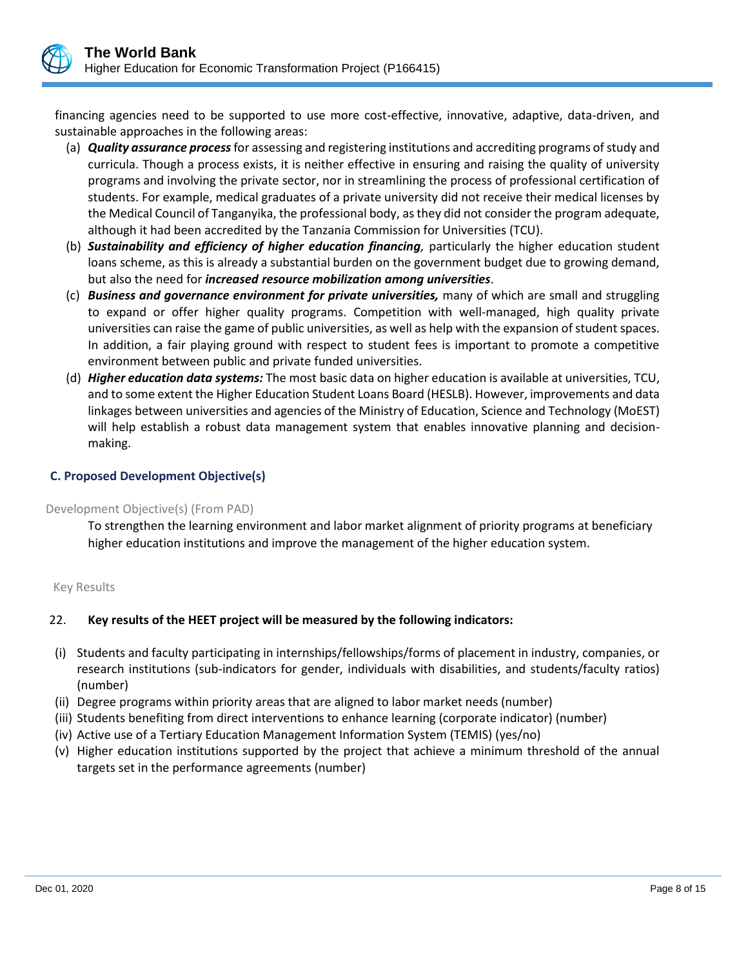

financing agencies need to be supported to use more cost-effective, innovative, adaptive, data-driven, and sustainable approaches in the following areas:

- (a) *Quality assurance process*for assessing and registering institutions and accrediting programs of study and curricula. Though a process exists, it is neither effective in ensuring and raising the quality of university programs and involving the private sector, nor in streamlining the process of professional certification of students. For example, medical graduates of a private university did not receive their medical licenses by the Medical Council of Tanganyika, the professional body, as they did not consider the program adequate, although it had been accredited by the Tanzania Commission for Universities (TCU).
- (b) *Sustainability and efficiency of higher education financing,* particularly the higher education student loans scheme, as this is already a substantial burden on the government budget due to growing demand, but also the need for *increased resource mobilization among universities*.
- (c) *Business and governance environment for private universities,* many of which are small and struggling to expand or offer higher quality programs. Competition with well-managed, high quality private universities can raise the game of public universities, as well as help with the expansion of student spaces. In addition, a fair playing ground with respect to student fees is important to promote a competitive environment between public and private funded universities.
- (d) *Higher education data systems:* The most basic data on higher education is available at universities, TCU, and to some extent the Higher Education Student Loans Board (HESLB). However, improvements and data linkages between universities and agencies of the Ministry of Education, Science and Technology (MoEST) will help establish a robust data management system that enables innovative planning and decisionmaking.

## **C. Proposed Development Objective(s)**

#### Development Objective(s) (From PAD)

To strengthen the learning environment and labor market alignment of priority programs at beneficiary higher education institutions and improve the management of the higher education system.

## Key Results

## 22. **Key results of the HEET project will be measured by the following indicators:**

- (i) Students and faculty participating in internships/fellowships/forms of placement in industry, companies, or research institutions (sub-indicators for gender, individuals with disabilities, and students/faculty ratios) (number)
- (ii) Degree programs within priority areas that are aligned to labor market needs (number)
- (iii) Students benefiting from direct interventions to enhance learning (corporate indicator) (number)
- (iv) Active use of a Tertiary Education Management Information System (TEMIS) (yes/no)
- (v) Higher education institutions supported by the project that achieve a minimum threshold of the annual targets set in the performance agreements (number)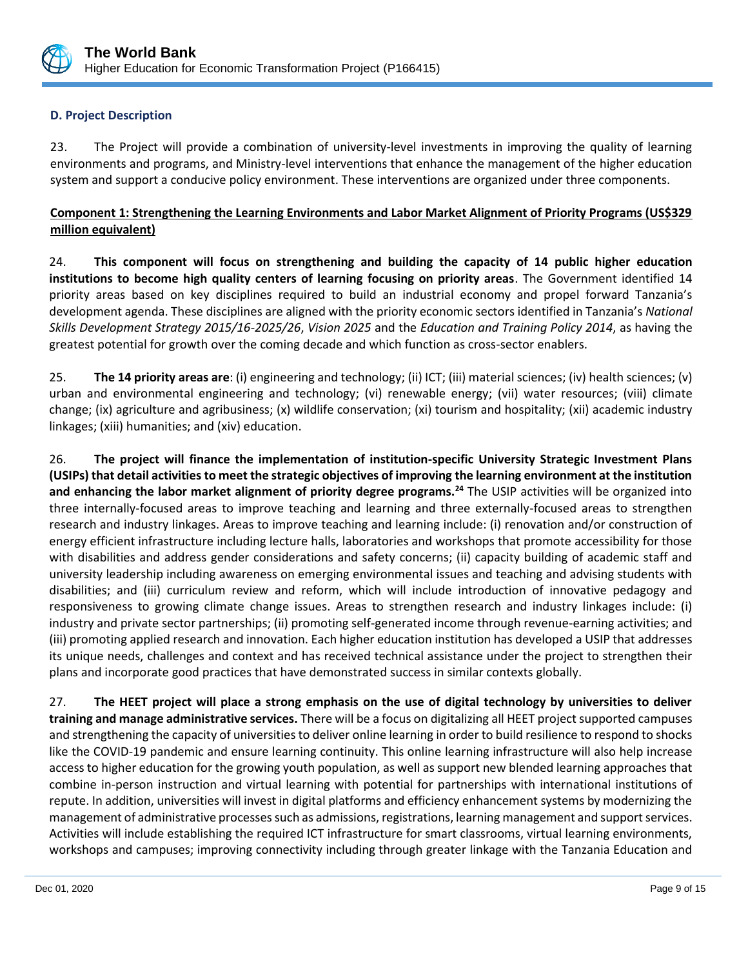

# **D. Project Description**

23. The Project will provide a combination of university-level investments in improving the quality of learning environments and programs, and Ministry-level interventions that enhance the management of the higher education system and support a conducive policy environment. These interventions are organized under three components.

# **Component 1: Strengthening the Learning Environments and Labor Market Alignment of Priority Programs (US\$329 million equivalent)**

24. **This component will focus on strengthening and building the capacity of 14 public higher education institutions to become high quality centers of learning focusing on priority areas**. The Government identified 14 priority areas based on key disciplines required to build an industrial economy and propel forward Tanzania's development agenda. These disciplines are aligned with the priority economic sectors identified in Tanzania's *National Skills Development Strategy 2015/16-2025/26*, *Vision 2025* and the *Education and Training Policy 2014*, as having the greatest potential for growth over the coming decade and which function as cross-sector enablers.

25. **The 14 priority areas are**: (i) engineering and technology; (ii) ICT; (iii) material sciences; (iv) health sciences; (v) urban and environmental engineering and technology; (vi) renewable energy; (vii) water resources; (viii) climate change; (ix) agriculture and agribusiness; (x) wildlife conservation; (xi) tourism and hospitality; (xii) academic industry linkages; (xiii) humanities; and (xiv) education.

26. **The project will finance the implementation of institution-specific University Strategic Investment Plans (USIPs) that detail activities to meet the strategic objectives of improving the learning environment at the institution and enhancing the labor market alignment of priority degree programs.<sup>24</sup>** The USIP activities will be organized into three internally-focused areas to improve teaching and learning and three externally-focused areas to strengthen research and industry linkages. Areas to improve teaching and learning include: (i) renovation and/or construction of energy efficient infrastructure including lecture halls, laboratories and workshops that promote accessibility for those with disabilities and address gender considerations and safety concerns; (ii) capacity building of academic staff and university leadership including awareness on emerging environmental issues and teaching and advising students with disabilities; and (iii) curriculum review and reform, which will include introduction of innovative pedagogy and responsiveness to growing climate change issues. Areas to strengthen research and industry linkages include: (i) industry and private sector partnerships; (ii) promoting self-generated income through revenue-earning activities; and (iii) promoting applied research and innovation. Each higher education institution has developed a USIP that addresses its unique needs, challenges and context and has received technical assistance under the project to strengthen their plans and incorporate good practices that have demonstrated success in similar contexts globally.

27. **The HEET project will place a strong emphasis on the use of digital technology by universities to deliver training and manage administrative services.** There will be a focus on digitalizing all HEET project supported campuses and strengthening the capacity of universities to deliver online learning in order to build resilience to respond to shocks like the COVID-19 pandemic and ensure learning continuity. This online learning infrastructure will also help increase access to higher education for the growing youth population, as well as support new blended learning approaches that combine in-person instruction and virtual learning with potential for partnerships with international institutions of repute. In addition, universities will invest in digital platforms and efficiency enhancement systems by modernizing the management of administrative processes such as admissions, registrations, learning management and support services. Activities will include establishing the required ICT infrastructure for smart classrooms, virtual learning environments, workshops and campuses; improving connectivity including through greater linkage with the Tanzania Education and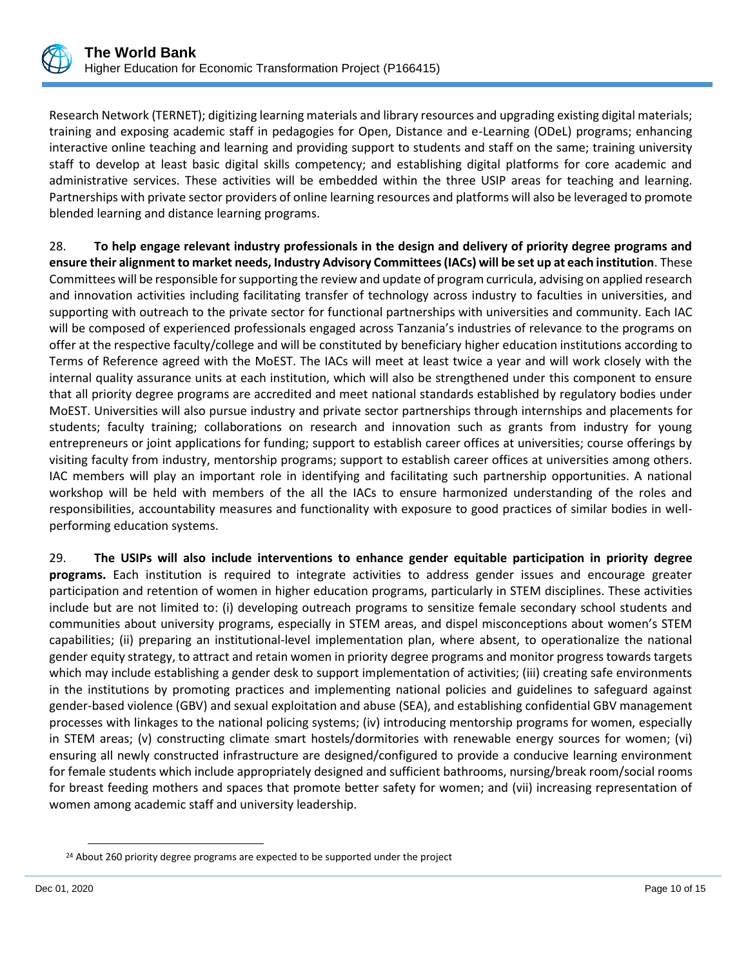

Research Network (TERNET); digitizing learning materials and library resources and upgrading existing digital materials; training and exposing academic staff in pedagogies for Open, Distance and e-Learning (ODeL) programs; enhancing interactive online teaching and learning and providing support to students and staff on the same; training university staff to develop at least basic digital skills competency; and establishing digital platforms for core academic and administrative services. These activities will be embedded within the three USIP areas for teaching and learning. Partnerships with private sector providers of online learning resources and platforms will also be leveraged to promote blended learning and distance learning programs.

28. **To help engage relevant industry professionals in the design and delivery of priority degree programs and ensure their alignment to market needs, Industry Advisory Committees (IACs) will be set up at each institution**. These Committees will be responsible for supporting the review and update of program curricula, advising on applied research and innovation activities including facilitating transfer of technology across industry to faculties in universities, and supporting with outreach to the private sector for functional partnerships with universities and community. Each IAC will be composed of experienced professionals engaged across Tanzania's industries of relevance to the programs on offer at the respective faculty/college and will be constituted by beneficiary higher education institutions according to Terms of Reference agreed with the MoEST. The IACs will meet at least twice a year and will work closely with the internal quality assurance units at each institution, which will also be strengthened under this component to ensure that all priority degree programs are accredited and meet national standards established by regulatory bodies under MoEST. Universities will also pursue industry and private sector partnerships through internships and placements for students; faculty training; collaborations on research and innovation such as grants from industry for young entrepreneurs or joint applications for funding; support to establish career offices at universities; course offerings by visiting faculty from industry, mentorship programs; support to establish career offices at universities among others. IAC members will play an important role in identifying and facilitating such partnership opportunities. A national workshop will be held with members of the all the IACs to ensure harmonized understanding of the roles and responsibilities, accountability measures and functionality with exposure to good practices of similar bodies in wellperforming education systems.

29. **The USIPs will also include interventions to enhance gender equitable participation in priority degree programs.** Each institution is required to integrate activities to address gender issues and encourage greater participation and retention of women in higher education programs, particularly in STEM disciplines. These activities include but are not limited to: (i) developing outreach programs to sensitize female secondary school students and communities about university programs, especially in STEM areas, and dispel misconceptions about women's STEM capabilities; (ii) preparing an institutional-level implementation plan, where absent, to operationalize the national gender equity strategy, to attract and retain women in priority degree programs and monitor progress towards targets which may include establishing a gender desk to support implementation of activities; (iii) creating safe environments in the institutions by promoting practices and implementing national policies and guidelines to safeguard against gender-based violence (GBV) and sexual exploitation and abuse (SEA), and establishing confidential GBV management processes with linkages to the national policing systems; (iv) introducing mentorship programs for women, especially in STEM areas; (v) constructing climate smart hostels/dormitories with renewable energy sources for women; (vi) ensuring all newly constructed infrastructure are designed/configured to provide a conducive learning environment for female students which include appropriately designed and sufficient bathrooms, nursing/break room/social rooms for breast feeding mothers and spaces that promote better safety for women; and (vii) increasing representation of women among academic staff and university leadership.

<sup>&</sup>lt;sup>24</sup> About 260 priority degree programs are expected to be supported under the project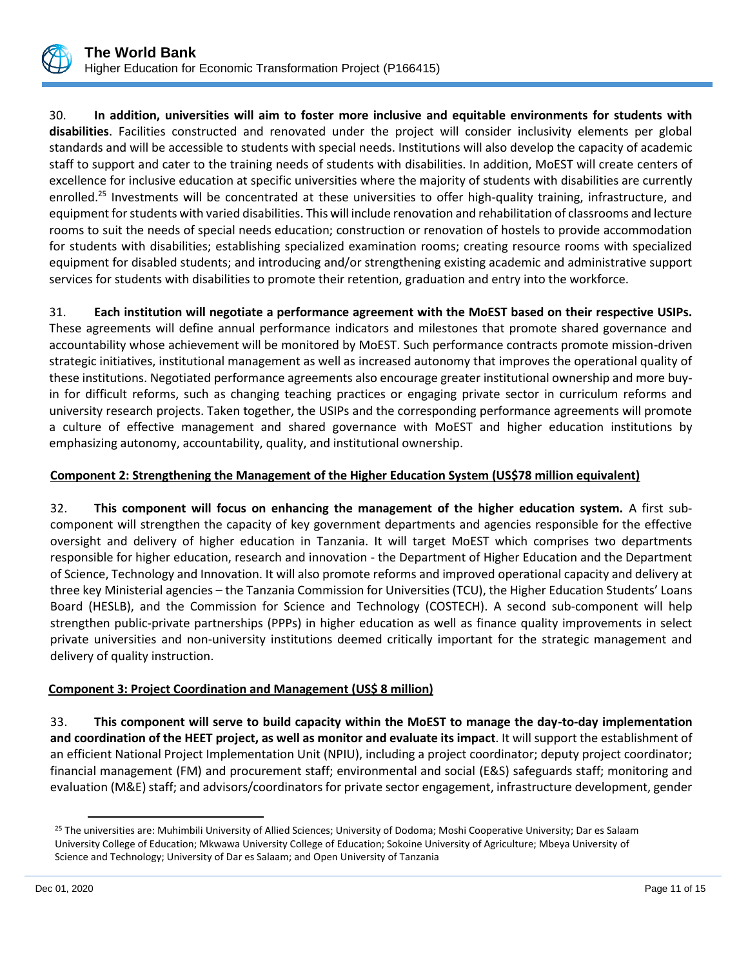

30. **In addition, universities will aim to foster more inclusive and equitable environments for students with disabilities**. Facilities constructed and renovated under the project will consider inclusivity elements per global standards and will be accessible to students with special needs. Institutions will also develop the capacity of academic staff to support and cater to the training needs of students with disabilities. In addition, MoEST will create centers of excellence for inclusive education at specific universities where the majority of students with disabilities are currently enrolled.<sup>25</sup> Investments will be concentrated at these universities to offer high-quality training, infrastructure, and equipment for students with varied disabilities. This will include renovation and rehabilitation of classrooms and lecture rooms to suit the needs of special needs education; construction or renovation of hostels to provide accommodation for students with disabilities; establishing specialized examination rooms; creating resource rooms with specialized equipment for disabled students; and introducing and/or strengthening existing academic and administrative support services for students with disabilities to promote their retention, graduation and entry into the workforce.

31. **Each institution will negotiate a performance agreement with the MoEST based on their respective USIPs.** 

These agreements will define annual performance indicators and milestones that promote shared governance and accountability whose achievement will be monitored by MoEST. Such performance contracts promote mission-driven strategic initiatives, institutional management as well as increased autonomy that improves the operational quality of these institutions. Negotiated performance agreements also encourage greater institutional ownership and more buyin for difficult reforms, such as changing teaching practices or engaging private sector in curriculum reforms and university research projects. Taken together, the USIPs and the corresponding performance agreements will promote a culture of effective management and shared governance with MoEST and higher education institutions by emphasizing autonomy, accountability, quality, and institutional ownership.

# **Component 2: Strengthening the Management of the Higher Education System (US\$78 million equivalent)**

32. **This component will focus on enhancing the management of the higher education system.** A first subcomponent will strengthen the capacity of key government departments and agencies responsible for the effective oversight and delivery of higher education in Tanzania. It will target MoEST which comprises two departments responsible for higher education, research and innovation - the Department of Higher Education and the Department of Science, Technology and Innovation. It will also promote reforms and improved operational capacity and delivery at three key Ministerial agencies – the Tanzania Commission for Universities (TCU), the Higher Education Students' Loans Board (HESLB), and the Commission for Science and Technology (COSTECH). A second sub-component will help strengthen public-private partnerships (PPPs) in higher education as well as finance quality improvements in select private universities and non-university institutions deemed critically important for the strategic management and delivery of quality instruction.

# **Component 3: Project Coordination and Management (US\$ 8 million)**

33. **This component will serve to build capacity within the MoEST to manage the day-to-day implementation and coordination of the HEET project, as well as monitor and evaluate its impact**. It will support the establishment of an efficient National Project Implementation Unit (NPIU), including a project coordinator; deputy project coordinator; financial management (FM) and procurement staff; environmental and social (E&S) safeguards staff; monitoring and evaluation (M&E) staff; and advisors/coordinators for private sector engagement, infrastructure development, gender

<sup>&</sup>lt;sup>25</sup> The universities are: Muhimbili University of Allied Sciences; University of Dodoma; Moshi Cooperative University; Dar es Salaam University College of Education; Mkwawa University College of Education; Sokoine University of Agriculture; Mbeya University of Science and Technology; University of Dar es Salaam; and Open University of Tanzania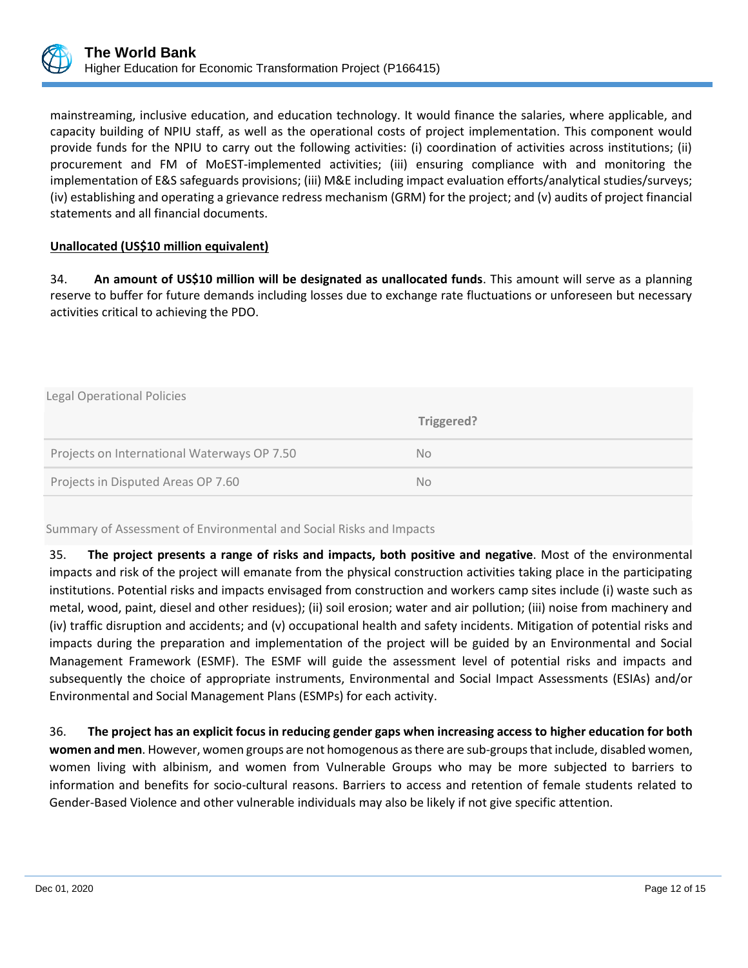

mainstreaming, inclusive education, and education technology. It would finance the salaries, where applicable, and capacity building of NPIU staff, as well as the operational costs of project implementation. This component would provide funds for the NPIU to carry out the following activities: (i) coordination of activities across institutions; (ii) procurement and FM of MoEST-implemented activities; (iii) ensuring compliance with and monitoring the implementation of E&S safeguards provisions; (iii) M&E including impact evaluation efforts/analytical studies/surveys; (iv) establishing and operating a grievance redress mechanism (GRM) for the project; and (v) audits of project financial statements and all financial documents.

# **Unallocated (US\$10 million equivalent)**

34. **An amount of US\$10 million will be designated as unallocated funds**. This amount will serve as a planning reserve to buffer for future demands including losses due to exchange rate fluctuations or unforeseen but necessary activities critical to achieving the PDO.

| Legal Operational Policies                  |            |  |  |  |
|---------------------------------------------|------------|--|--|--|
|                                             | Triggered? |  |  |  |
| Projects on International Waterways OP 7.50 | No.        |  |  |  |
| Projects in Disputed Areas OP 7.60          | No.        |  |  |  |

Summary of Assessment of Environmental and Social Risks and Impacts

35. **The project presents a range of risks and impacts, both positive and negative**. Most of the environmental impacts and risk of the project will emanate from the physical construction activities taking place in the participating institutions. Potential risks and impacts envisaged from construction and workers camp sites include (i) waste such as metal, wood, paint, diesel and other residues); (ii) soil erosion; water and air pollution; (iii) noise from machinery and (iv) traffic disruption and accidents; and (v) occupational health and safety incidents. Mitigation of potential risks and impacts during the preparation and implementation of the project will be guided by an Environmental and Social Management Framework (ESMF). The ESMF will guide the assessment level of potential risks and impacts and subsequently the choice of appropriate instruments, Environmental and Social Impact Assessments (ESIAs) and/or Environmental and Social Management Plans (ESMPs) for each activity.

36. **The project has an explicit focus in reducing gender gaps when increasing access to higher education for both women and men**. However, women groups are not homogenous as there are sub-groups that include, disabled women, women living with albinism, and women from Vulnerable Groups who may be more subjected to barriers to information and benefits for socio-cultural reasons. Barriers to access and retention of female students related to Gender-Based Violence and other vulnerable individuals may also be likely if not give specific attention.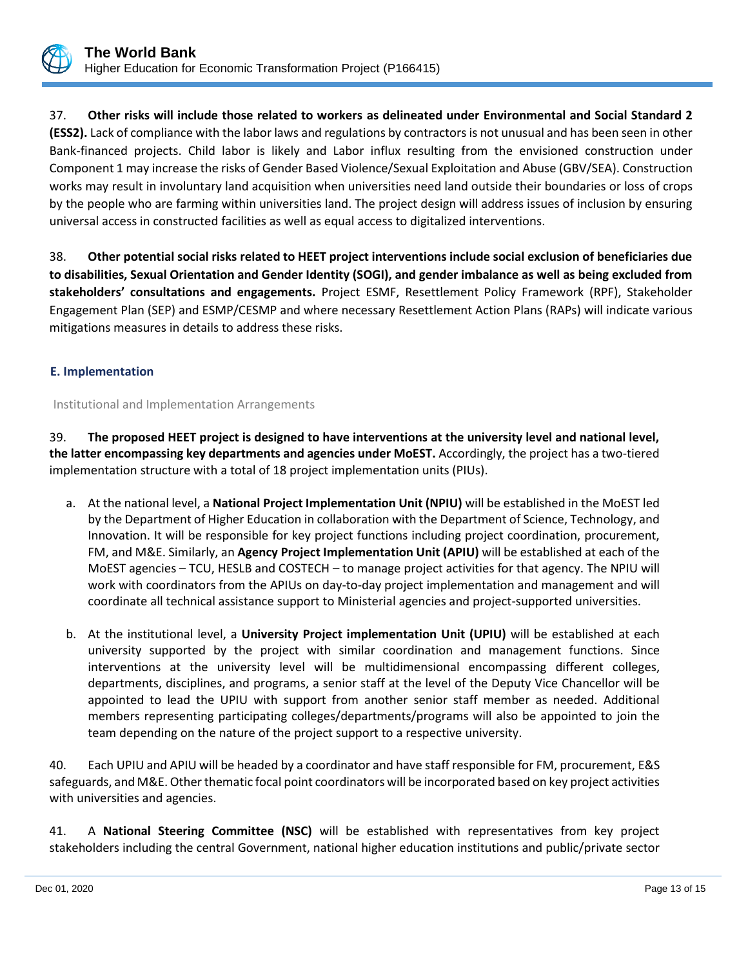

37. **Other risks will include those related to workers as delineated under Environmental and Social Standard 2 (ESS2).** Lack of compliance with the labor laws and regulations by contractors is not unusual and has been seen in other Bank-financed projects. Child labor is likely and Labor influx resulting from the envisioned construction under Component 1 may increase the risks of Gender Based Violence/Sexual Exploitation and Abuse (GBV/SEA). Construction works may result in involuntary land acquisition when universities need land outside their boundaries or loss of crops by the people who are farming within universities land. The project design will address issues of inclusion by ensuring universal access in constructed facilities as well as equal access to digitalized interventions.

38. **Other potential social risks related to HEET project interventions include social exclusion of beneficiaries due to disabilities, Sexual Orientation and Gender Identity (SOGI), and gender imbalance as well as being excluded from stakeholders' consultations and engagements.** Project ESMF, Resettlement Policy Framework (RPF), Stakeholder Engagement Plan (SEP) and ESMP/CESMP and where necessary Resettlement Action Plans (RAPs) will indicate various mitigations measures in details to address these risks.

# **E. Implementation**

Institutional and Implementation Arrangements

39. **The proposed HEET project is designed to have interventions at the university level and national level, the latter encompassing key departments and agencies under MoEST.** Accordingly, the project has a two-tiered implementation structure with a total of 18 project implementation units (PIUs).

- a. At the national level, a **National Project Implementation Unit (NPIU)** will be established in the MoEST led by the Department of Higher Education in collaboration with the Department of Science, Technology, and Innovation. It will be responsible for key project functions including project coordination, procurement, FM, and M&E. Similarly, an **Agency Project Implementation Unit (APIU)** will be established at each of the MoEST agencies – TCU, HESLB and COSTECH – to manage project activities for that agency. The NPIU will work with coordinators from the APIUs on day-to-day project implementation and management and will coordinate all technical assistance support to Ministerial agencies and project-supported universities.
- b. At the institutional level, a **University Project implementation Unit (UPIU)** will be established at each university supported by the project with similar coordination and management functions. Since interventions at the university level will be multidimensional encompassing different colleges, departments, disciplines, and programs, a senior staff at the level of the Deputy Vice Chancellor will be appointed to lead the UPIU with support from another senior staff member as needed. Additional members representing participating colleges/departments/programs will also be appointed to join the team depending on the nature of the project support to a respective university.

40. Each UPIU and APIU will be headed by a coordinator and have staff responsible for FM, procurement, E&S safeguards, and M&E. Other thematic focal point coordinators will be incorporated based on key project activities with universities and agencies.

41. A **National Steering Committee (NSC)** will be established with representatives from key project stakeholders including the central Government, national higher education institutions and public/private sector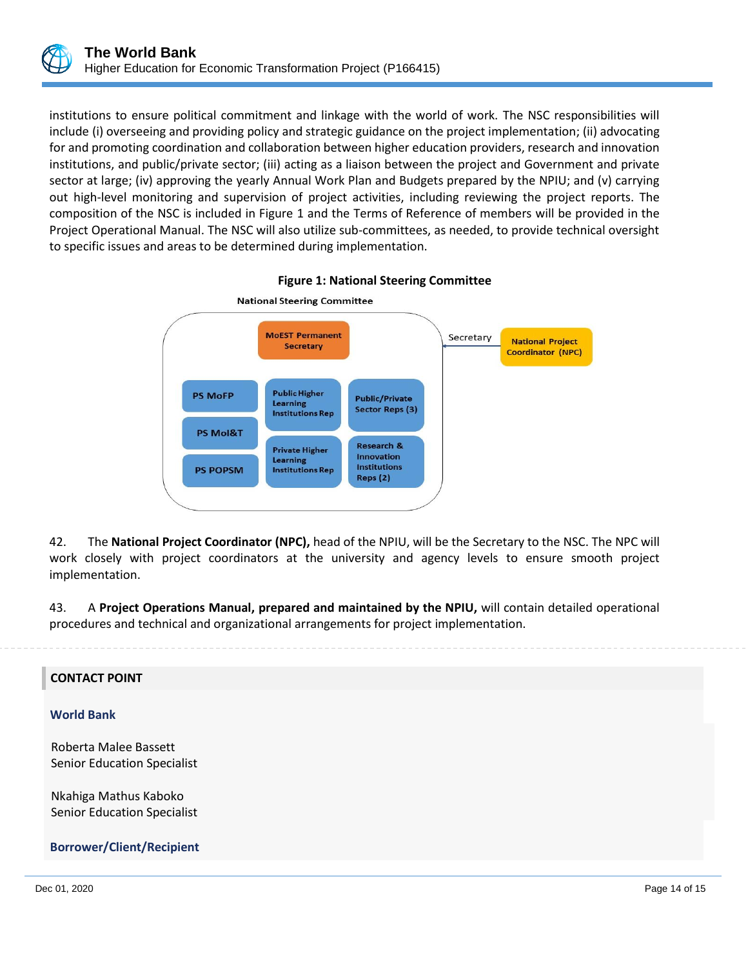

institutions to ensure political commitment and linkage with the world of work. The NSC responsibilities will include (i) overseeing and providing policy and strategic guidance on the project implementation; (ii) advocating for and promoting coordination and collaboration between higher education providers, research and innovation institutions, and public/private sector; (iii) acting as a liaison between the project and Government and private sector at large; (iv) approving the yearly Annual Work Plan and Budgets prepared by the NPIU; and (v) carrying out high-level monitoring and supervision of project activities, including reviewing the project reports. The composition of the NSC is included in Figure 1 and the Terms of Reference of members will be provided in the Project Operational Manual. The NSC will also utilize sub-committees, as needed, to provide technical oversight to specific issues and areas to be determined during implementation.



**Figure 1: National Steering Committee**

42. The **National Project Coordinator (NPC),** head of the NPIU, will be the Secretary to the NSC. The NPC will work closely with project coordinators at the university and agency levels to ensure smooth project implementation.

43. A **Project Operations Manual, prepared and maintained by the NPIU,** will contain detailed operational procedures and technical and organizational arrangements for project implementation.

## **CONTACT POINT**

#### **World Bank**

Roberta Malee Bassett Senior Education Specialist

Nkahiga Mathus Kaboko Senior Education Specialist

 **Borrower/Client/Recipient**